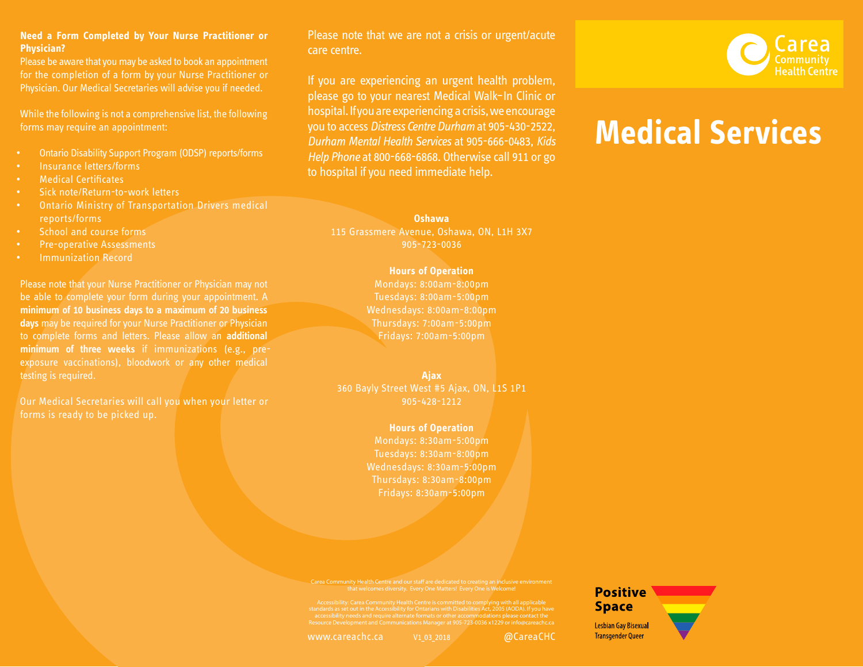## **Need a Form Completed by Your Nurse Practitioner or Physician?**

Please be aware that you may be asked to book an appointment for the completion of a form by your Nurse Practitioner or Physician. Our Medical Secretaries will advise you if needed.

While the following is not a comprehensive list, the following forms may require an appointment:

- Ontario Disability Support Program (ODSP) reports/forms
- Insurance letters/forms
- Medical Certificates
- Sick note/Return-to-work letters
- Ontario Ministry of Transportation Drivers medical reports/forms
- School and course forms
- Pre-operative Assessments
- Immunization Record

Please note that your Nurse Practitioner or Physician may not be able to complete your form during your appointment. A **minimum of 10 business days to a maximum of 20 business days** may be required for your Nurse Practitioner or Physician to complete forms and letters. Please allow an **additional minimum of three weeks** if immunizations (e.g., preexposure vaccinations), bloodwork or any other medical testing is required.

Our Medical Secretaries will call you when your letter or forms is ready to be picked up.

Please note that we are not a crisis or urgent/acute care centre.

If you are experiencing an urgent health problem, please go to your nearest Medical Walk–In Clinic or hospital. If you are experiencing a crisis, we encourage you to access *Distress Centre Durham* at 905-430-2522, *Durham Mental Health Services* at 905-666-0483, *Kids Help Phone* at 800-668-6868. Otherwise call 911 or go to hospital if you need immediate help.



# **Medical Services**

**Oshawa** 115 Grassmere Avenue, Oshawa, ON, L1H 3X7

905-723-0036

## **Hours of Operation**

Mondays: 8:00am-8:00pm Tuesdays: 8:00am-5:00pm Wednesdays: 8:00am-8:00pm Thursdays: 7:00am-5:00pm Fridays: 7:00am-5:00pm

# **Ajax**

360 Bayly Street West #5 Ajax, ON, L1S 1P1 905-428-1212

## **Hours of Operation**

Mondays: 8:30am-5:00pm Tuesdays: 8:30am-8:00pm Wednesdays: 8:30am-5:00pm Thursdays: 8:30am-8:00pm Fridays: 8:30am-5:00pm

Carea Community Health Centre and our staff are dedicated to creating an inclusive environment that welcomes diversity. Every One Matters! Every One is Welcome!

Accessibility: Carea Community Health Centre is committed to complying with all applicable<br>standards as set out in the Accessibility for Ontarians with Disabilities Act, 2005 (AODA). If you have<br>accessibility for ontarians

www.careachc.ca v1 03 2018 and all algorithments are values of the values of  $\omega$ CareaCHC

**Positive Space Lesbian Gay Bisexual Transgender Queer**